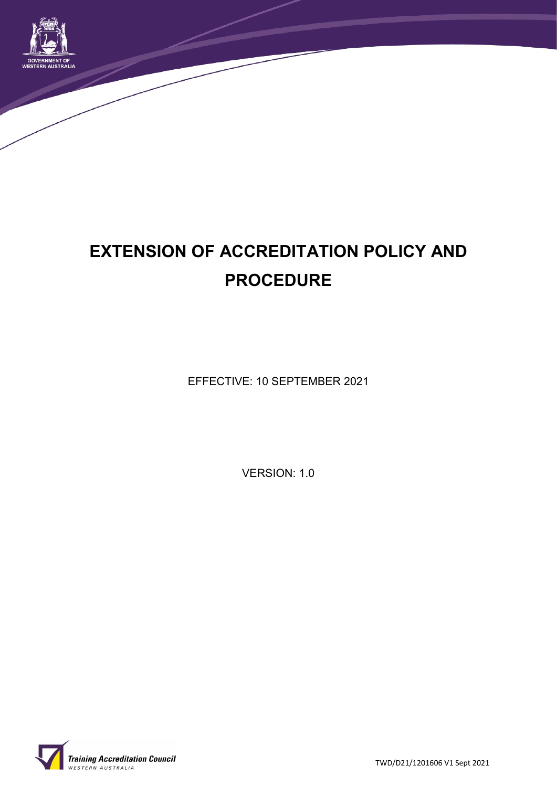

# **EXTENSION OF ACCREDITATION POLICY AND PROCEDURE**

EFFECTIVE: 10 SEPTEMBER 2021

VERSION: 1.0



TWD/D21/1201606 V1 Sept 2021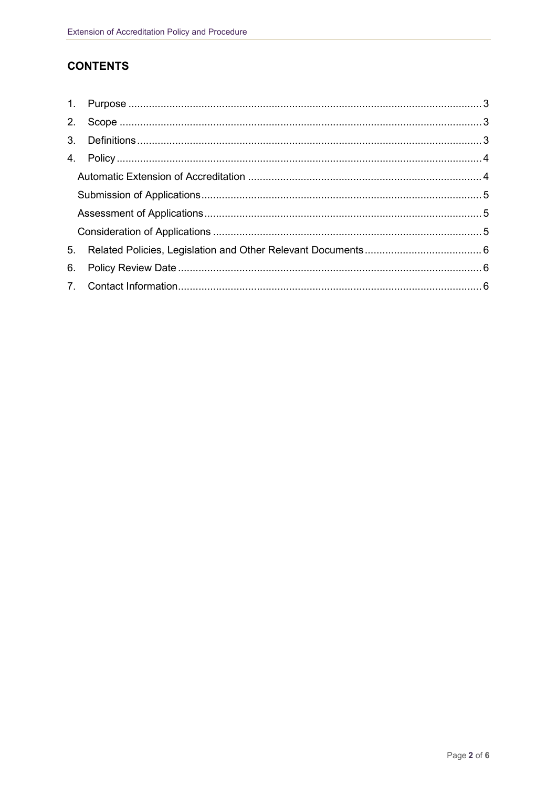## **CONTENTS**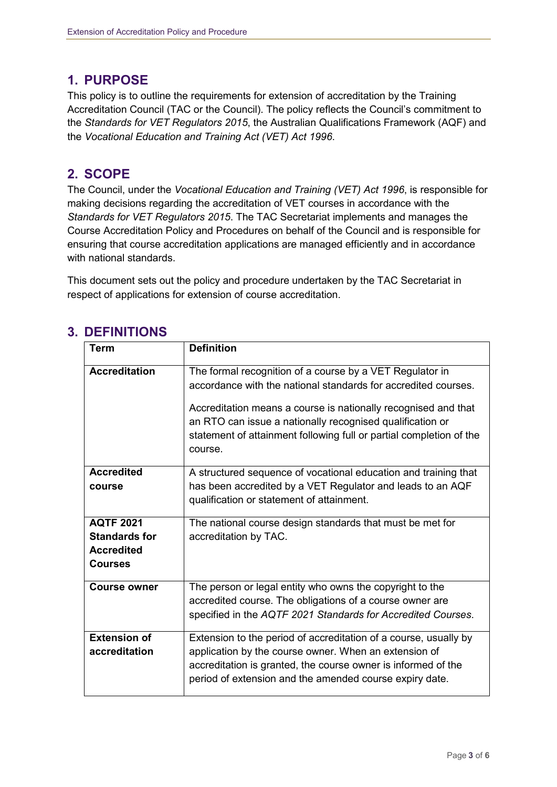## **1. PURPOSE**

This policy is to outline the requirements for extension of accreditation by the Training Accreditation Council (TAC or the Council). The policy reflects the Council's commitment to the *Standards for VET Regulators 2015*, the Australian Qualifications Framework (AQF) and the *Vocational Education and Training Act (VET) Act 1996*.

## **2. SCOPE**

The Council, under the *Vocational Education and Training (VET) Act 1996*, is responsible for making decisions regarding the accreditation of VET courses in accordance with the *Standards for VET Regulators 2015*. The TAC Secretariat implements and manages the Course Accreditation Policy and Procedures on behalf of the Council and is responsible for ensuring that course accreditation applications are managed efficiently and in accordance with national standards.

This document sets out the policy and procedure undertaken by the TAC Secretariat in respect of applications for extension of course accreditation.

| <b>Term</b>          | <b>Definition</b>                                                                                                                                                                                             |
|----------------------|---------------------------------------------------------------------------------------------------------------------------------------------------------------------------------------------------------------|
|                      |                                                                                                                                                                                                               |
| <b>Accreditation</b> | The formal recognition of a course by a VET Regulator in                                                                                                                                                      |
|                      | accordance with the national standards for accredited courses.                                                                                                                                                |
|                      | Accreditation means a course is nationally recognised and that<br>an RTO can issue a nationally recognised qualification or<br>statement of attainment following full or partial completion of the<br>course. |
| <b>Accredited</b>    | A structured sequence of vocational education and training that                                                                                                                                               |
| course               | has been accredited by a VET Regulator and leads to an AQF                                                                                                                                                    |
|                      | qualification or statement of attainment.                                                                                                                                                                     |
| <b>AQTF 2021</b>     | The national course design standards that must be met for                                                                                                                                                     |
| <b>Standards for</b> | accreditation by TAC.                                                                                                                                                                                         |
| <b>Accredited</b>    |                                                                                                                                                                                                               |
| <b>Courses</b>       |                                                                                                                                                                                                               |
| <b>Course owner</b>  | The person or legal entity who owns the copyright to the                                                                                                                                                      |
|                      | accredited course. The obligations of a course owner are                                                                                                                                                      |
|                      | specified in the AQTF 2021 Standards for Accredited Courses.                                                                                                                                                  |
| <b>Extension of</b>  | Extension to the period of accreditation of a course, usually by                                                                                                                                              |
| accreditation        | application by the course owner. When an extension of                                                                                                                                                         |
|                      | accreditation is granted, the course owner is informed of the                                                                                                                                                 |
|                      | period of extension and the amended course expiry date.                                                                                                                                                       |
|                      |                                                                                                                                                                                                               |

## **3. DEFINITIONS**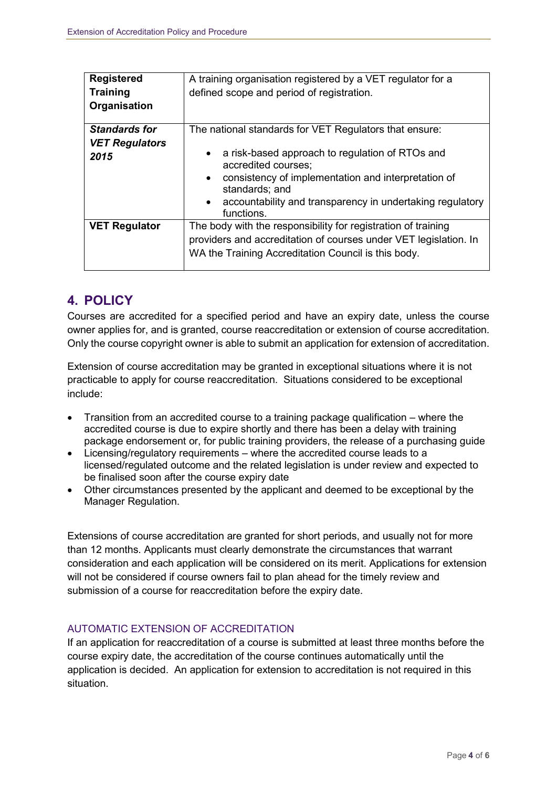| <b>Registered</b><br><b>Training</b><br>Organisation  | A training organisation registered by a VET regulator for a<br>defined scope and period of registration.                                                                                                                                                                                                       |  |
|-------------------------------------------------------|----------------------------------------------------------------------------------------------------------------------------------------------------------------------------------------------------------------------------------------------------------------------------------------------------------------|--|
| <b>Standards for</b><br><b>VET Regulators</b><br>2015 | The national standards for VET Regulators that ensure:<br>a risk-based approach to regulation of RTOs and<br>accredited courses;<br>consistency of implementation and interpretation of<br>$\bullet$<br>standards; and<br>accountability and transparency in undertaking regulatory<br>$\bullet$<br>functions. |  |
| <b>VET Regulator</b>                                  | The body with the responsibility for registration of training<br>providers and accreditation of courses under VET legislation. In<br>WA the Training Accreditation Council is this body.                                                                                                                       |  |

## **4. POLICY**

Courses are accredited for a specified period and have an expiry date, unless the course owner applies for, and is granted, course reaccreditation or extension of course accreditation. Only the course copyright owner is able to submit an application for extension of accreditation.

Extension of course accreditation may be granted in exceptional situations where it is not practicable to apply for course reaccreditation. Situations considered to be exceptional include:

- Transition from an accredited course to a training package qualification where the accredited course is due to expire shortly and there has been a delay with training package endorsement or, for public training providers, the release of a purchasing guide
- Licensing/regulatory requirements where the accredited course leads to a licensed/regulated outcome and the related legislation is under review and expected to be finalised soon after the course expiry date
- Other circumstances presented by the applicant and deemed to be exceptional by the Manager Regulation.

Extensions of course accreditation are granted for short periods, and usually not for more than 12 months. Applicants must clearly demonstrate the circumstances that warrant consideration and each application will be considered on its merit. Applications for extension will not be considered if course owners fail to plan ahead for the timely review and submission of a course for reaccreditation before the expiry date.

#### AUTOMATIC EXTENSION OF ACCREDITATION

If an application for reaccreditation of a course is submitted at least three months before the course expiry date, the accreditation of the course continues automatically until the application is decided. An application for extension to accreditation is not required in this situation.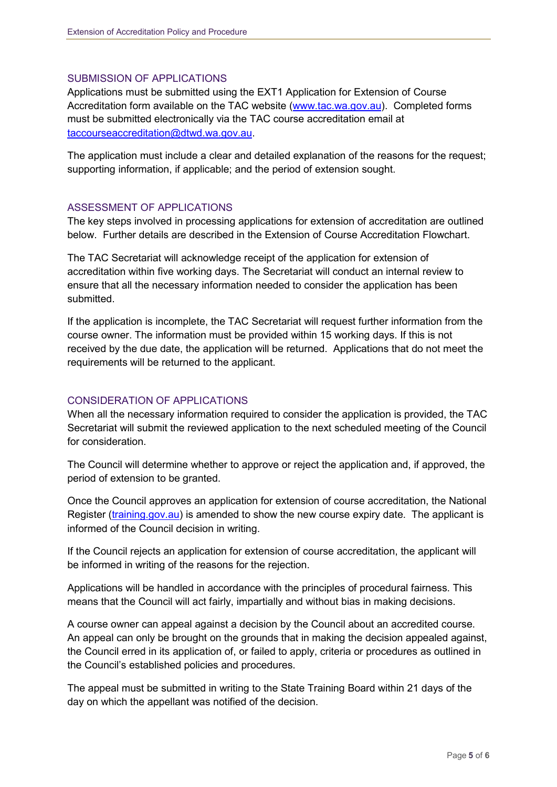#### SUBMISSION OF APPLICATIONS

Applications must be submitted using the EXT1 Application for Extension of Course Accreditation form available on the TAC website [\(www.tac.wa.gov.au\)](http://www.tac.wa.gov.au/). Completed forms must be submitted electronically via the TAC course accreditation email at [taccourseaccreditation@dtwd.wa.gov.au.](mailto:taccourseaccreditation@dtwd.wa.gov.au)

The application must include a clear and detailed explanation of the reasons for the request; supporting information, if applicable; and the period of extension sought.

#### ASSESSMENT OF APPLICATIONS

The key steps involved in processing applications for extension of accreditation are outlined below. Further details are described in the Extension of Course Accreditation Flowchart.

The TAC Secretariat will acknowledge receipt of the application for extension of accreditation within five working days. The Secretariat will conduct an internal review to ensure that all the necessary information needed to consider the application has been submitted.

If the application is incomplete, the TAC Secretariat will request further information from the course owner. The information must be provided within 15 working days. If this is not received by the due date, the application will be returned. Applications that do not meet the requirements will be returned to the applicant.

#### CONSIDERATION OF APPLICATIONS

When all the necessary information required to consider the application is provided, the TAC Secretariat will submit the reviewed application to the next scheduled meeting of the Council for consideration.

The Council will determine whether to approve or reject the application and, if approved, the period of extension to be granted.

Once the Council approves an application for extension of course accreditation, the National Register [\(training.gov.au\)](http://www.training.gov.au/) is amended to show the new course expiry date. The applicant is informed of the Council decision in writing.

If the Council rejects an application for extension of course accreditation, the applicant will be informed in writing of the reasons for the rejection.

Applications will be handled in accordance with the principles of procedural fairness. This means that the Council will act fairly, impartially and without bias in making decisions.

A course owner can appeal against a decision by the Council about an accredited course. An appeal can only be brought on the grounds that in making the decision appealed against, the Council erred in its application of, or failed to apply, criteria or procedures as outlined in the Council's established policies and procedures.

The appeal must be submitted in writing to the State Training Board within 21 days of the day on which the appellant was notified of the decision.